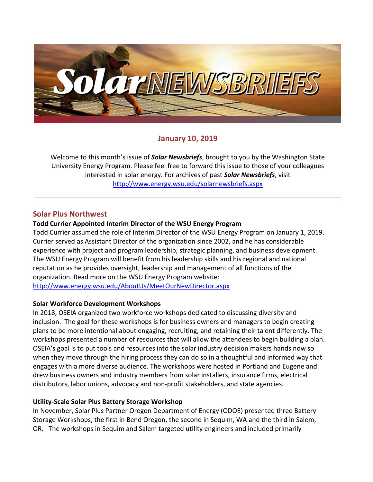

### **January 10, 2019**

Welcome to this month's issue of *Solar Newsbriefs*, brought to you by the Washington State University Energy Program. Please feel free to forward this issue to those of your colleagues interested in solar energy. For archives of past *Solar Newsbriefs*, visit <http://www.energy.wsu.edu/solarnewsbriefs.aspx>

#### **Solar Plus Northwest**

#### **Todd Currier Appointed Interim Director of the WSU Energy Program**

Todd Currier assumed the role of Interim Director of the WSU Energy Program on January 1, 2019. Currier served as Assistant Director of the organization since 2002, and he has considerable experience with project and program leadership, strategic planning, and business development. The WSU Energy Program will benefit from his leadership skills and his regional and national reputation as he provides oversight, leadership and management of all functions of the organization. Read more on the WSU Energy Program website: <http://www.energy.wsu.edu/AboutUs/MeetOurNewDirector.aspx>

#### **Solar Workforce Development Workshops**

In 2018, OSEIA organized two workforce workshops dedicated to discussing diversity and inclusion. The goal for these workshops is for business owners and managers to begin creating plans to be more intentional about engaging, recruiting, and retaining their talent differently. The workshops presented a number of resources that will allow the attendees to begin building a plan. OSEIA's goal is to put tools and resources into the solar industry decision makers hands now so when they move through the hiring process they can do so in a thoughtful and informed way that engages with a more diverse audience. The workshops were hosted in Portland and Eugene and drew business owners and industry members from solar installers, insurance firms, electrical distributors, labor unions, advocacy and non-profit stakeholders, and state agencies.

#### **Utility-Scale Solar Plus Battery Storage Workshop**

In November, Solar Plus Partner Oregon Department of Energy (ODOE) presented three Battery Storage Workshops, the first in Bend Oregon, the second in Sequim, WA and the third in Salem, OR. The workshops in Sequim and Salem targeted utility engineers and included primarily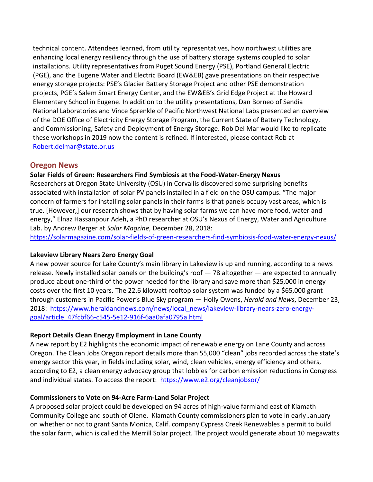technical content. Attendees learned, from utility representatives, how northwest utilities are enhancing local energy resiliency through the use of battery storage systems coupled to solar installations. Utility representatives from Puget Sound Energy (PSE), Portland General Electric (PGE), and the Eugene Water and Electric Board (EW&EB) gave presentations on their respective energy storage projects: PSE's Glacier Battery Storage Project and other PSE demonstration projects, PGE's Salem Smart Energy Center, and the EW&EB's Grid Edge Project at the Howard Elementary School in Eugene. In addition to the utility presentations, Dan Borneo of Sandia National Laboratories and Vince Sprenkle of Pacific Northwest National Labs presented an overview of the DOE Office of Electricity Energy Storage Program, the Current State of Battery Technology, and Commissioning, Safety and Deployment of Energy Storage. Rob Del Mar would like to replicate these workshops in 2019 now the content is refined. If interested, please contact Rob at [Robert.delmar@state.or.us](mailto:Robert.delmar@state.or.us)

## **Oregon News**

#### **Solar Fields of Green: Researchers Find Symbiosis at the Food-Water-Energy Nexus**

Researchers at Oregon State University (OSU) in Corvallis discovered some surprising benefits associated with installation of solar PV panels installed in a field on the OSU campus. "The major concern of farmers for installing solar panels in their farms is that panels occupy vast areas, which is true. [However,] our research shows that by having solar farms we can have more food, water and energy," Elnaz Hassanpour Adeh, a PhD researcher at OSU's [Nexus of Energy, Water and Agriculture](http://blogs.oregonstate.edu/newagbee/)  [Lab.](http://blogs.oregonstate.edu/newagbee/) by Andrew Berger at *Solar Magzine*, December 28, 2018:

<https://solarmagazine.com/solar-fields-of-green-researchers-find-symbiosis-food-water-energy-nexus/>

#### **Lakeview Library Nears Zero Energy Goal**

A new power source for Lake County's main library in Lakeview is up and running, according to a news release. Newly installed solar panels on the building's roof — 78 altogether — are expected to annually produce about one-third of the power needed for the library and save more than \$25,000 in energy costs over the first 10 years. The 22.6 kilowatt rooftop solar system was funded by a \$65,000 grant through customers in Pacific Power's Blue Sky program — Holly Owens, *Herald and News*, December 23, 2018: [https://www.heraldandnews.com/news/local\\_news/lakeview-library-nears-zero-energy](https://www.heraldandnews.com/news/local_news/lakeview-library-nears-zero-energy-goal/article_47fcbf66-c545-5e12-916f-6aa0afa0795a.html)[goal/article\\_47fcbf66-c545-5e12-916f-6aa0afa0795a.html](https://www.heraldandnews.com/news/local_news/lakeview-library-nears-zero-energy-goal/article_47fcbf66-c545-5e12-916f-6aa0afa0795a.html)

#### **Report Details Clean Energy Employment in Lane County**

A new report by E2 highlights the economic impact of renewable energy on Lane County and across Oregon. The Clean Jobs Oregon report details more than 55,000 "clean" jobs recorded across the state's energy sector this year, in fields including solar, wind, clean vehicles, energy efficiency and others, according to E2, a clean energy advocacy group that lobbies for carbon emission reductions in Congress and individual states. To access the report: <https://www.e2.org/cleanjobsor/>

#### **Commissioners to Vote on 94-Acre Farm-Land Solar Project**

A proposed solar project could be developed on 94 acres of high-value farmland east of Klamath Community College and south of Olene. Klamath County commissioners plan to vote in early January on whether or not to grant Santa Monica, Calif. company Cypress Creek Renewables a permit to build the solar farm, which is called the Merrill Solar project. The project would generate about 10 megawatts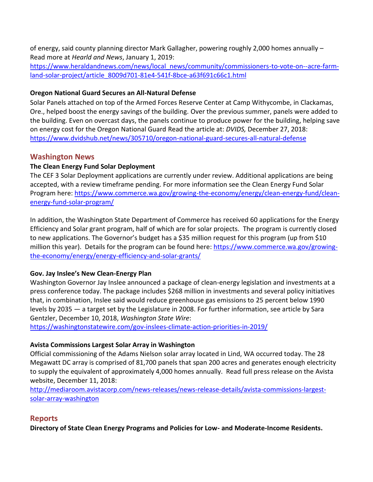of energy, said county planning director Mark Gallagher, powering roughly 2,000 homes annually – Read more at *Hearld and News*, January 1, 2019:

[https://www.heraldandnews.com/news/local\\_news/community/commissioners-to-vote-on--acre-farm](https://www.heraldandnews.com/news/local_news/community/commissioners-to-vote-on--acre-farm-land-solar-project/article_8009d701-81e4-541f-8bce-a63f691c66c1.html)[land-solar-project/article\\_8009d701-81e4-541f-8bce-a63f691c66c1.html](https://www.heraldandnews.com/news/local_news/community/commissioners-to-vote-on--acre-farm-land-solar-project/article_8009d701-81e4-541f-8bce-a63f691c66c1.html)

### **Oregon National Guard Secures an All-Natural Defense**

Solar Panels attached on top of the Armed Forces Reserve Center at Camp Withycombe, in Clackamas, Ore., helped boost the energy savings of the building. Over the previous summer, panels were added to the building. Even on overcast days, the panels continue to produce power for the building, helping save on energy cost for the Oregon National Guard Read the article at: *DVIDS,* December 27, 2018: <https://www.dvidshub.net/news/305710/oregon-national-guard-secures-all-natural-defense>

## **Washington News**

## **The Clean Energy Fund Solar Deployment**

The CEF 3 Solar Deployment applications are currently under review. Additional applications are being accepted, with a review timeframe pending. For more information see the Clean Energy Fund Solar Program here: [https://www.commerce.wa.gov/growing-the-economy/energy/clean-energy-fund/clean](https://www.commerce.wa.gov/growing-the-economy/energy/clean-energy-fund/clean-energy-fund-solar-program/)[energy-fund-solar-program/](https://www.commerce.wa.gov/growing-the-economy/energy/clean-energy-fund/clean-energy-fund-solar-program/)

In addition, the Washington State Department of Commerce has received 60 applications for the Energy Efficiency and Solar grant program, half of which are for solar projects. The program is currently closed to new applications. The Governor's budget has a \$35 million request for this program (up from \$10 million this year). Details for the program can be found here: [https://www.commerce.wa.gov/growing](https://www.commerce.wa.gov/growing-the-economy/energy/energy-efficiency-and-solar-grants/)[the-economy/energy/energy-efficiency-and-solar-grants/](https://www.commerce.wa.gov/growing-the-economy/energy/energy-efficiency-and-solar-grants/)

## **Gov. Jay Inslee's New Clean-Energy Plan**

Washington Governor Jay Inslee announced a [package of clean-energy legislation](https://medium.com/wagovernor/clean-electricity-clean-buildings-and-clean-transportation-inslee-plan-would-launch-19d789c99334) and investments at a [press conference](https://www.tvw.org/watch/?eventID=2018121034) today. The package includes \$268 million in investments and several policy initiatives that, in combination, Inslee said would reduce greenhouse gas emissions to 25 percent below 1990 levels by 2035 — a target set by the Legislature in 2008. For further information, see article by Sara Gentzler, December 10, 2018, *Washington State Wire*:

<https://washingtonstatewire.com/gov-inslees-climate-action-priorities-in-2019/>

## **Avista Commissions Largest Solar Array in Washington**

Official commissioning of the Adams Nielson solar array located in Lind, WA occurred today. The 28 Megawatt DC array is comprised of 81,700 panels that span 200 acres and generates enough electricity to supply the equivalent of approximately 4,000 homes annually. Read full press release on the Avista website, December 11, 2018:

[http://mediaroom.avistacorp.com/news-releases/news-release-details/avista-commissions-largest](http://mediaroom.avistacorp.com/news-releases/news-release-details/avista-commissions-largest-solar-array-washington)[solar-array-washington](http://mediaroom.avistacorp.com/news-releases/news-release-details/avista-commissions-largest-solar-array-washington)

# **Reports**

**Directory of State Clean Energy Programs and Policies for Low- and Moderate-Income Residents.**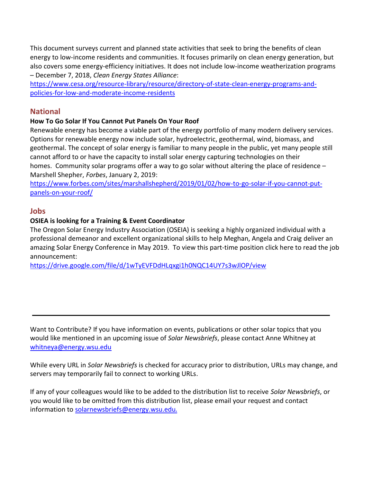This document surveys current and planned state activities that seek to bring the benefits of clean energy to low-income residents and communities. It focuses primarily on clean energy generation, but also covers some energy-efficiency initiatives. It does not include low-income weatherization programs – December 7, 2018, *Clean Energy States Alliance*:

[https://www.cesa.org/resource-library/resource/directory-of-state-clean-energy-programs-and](https://www.cesa.org/resource-library/resource/directory-of-state-clean-energy-programs-and-policies-for-low-and-moderate-income-residents)[policies-for-low-and-moderate-income-residents](https://www.cesa.org/resource-library/resource/directory-of-state-clean-energy-programs-and-policies-for-low-and-moderate-income-residents)

## **National**

### **How To Go Solar If You Cannot Put Panels On Your Roof**

Renewable energy has become a viable part of the energy portfolio of many modern delivery services. Options for renewable energy now include solar, hydroelectric, geothermal, wind, biomass, and geothermal. The concept of solar energy is familiar to many people in the public, yet many people still cannot afford to or have the capacity to install solar energy capturing technologies on their homes. Community solar programs offer a way to go solar without altering the place of residence – Marshell Shepher, *Forbes*, January 2, 2019:

[https://www.forbes.com/sites/marshallshepherd/2019/01/02/how-to-go-solar-if-you-cannot-put](https://www.forbes.com/sites/marshallshepherd/2019/01/02/how-to-go-solar-if-you-cannot-put-panels-on-your-roof/)[panels-on-your-roof/](https://www.forbes.com/sites/marshallshepherd/2019/01/02/how-to-go-solar-if-you-cannot-put-panels-on-your-roof/)

### **Jobs**

### **OSIEA is looking for a Training & Event Coordinator**

The Oregon Solar Energy Industry Association (OSEIA) is seeking a highly organized individual with a professional demeanor and excellent organizational skills to help Meghan, Angela and Craig deliver an amazing Solar Energy Conference in May 2019. To view this part-time position click here to read the job announcement:

<https://drive.google.com/file/d/1wTyEVFDdHLqxgi1h0NQC14UY7s3wJlOP/view>

Want to Contribute? If you have information on events, publications or other solar topics that you would like mentioned in an upcoming issue of *Solar Newsbriefs*, please contact Anne Whitney at [whitneya@energy.wsu.edu](mailto:whitneya@energy.wsu.edu)

While every URL in *Solar Newsbriefs* is checked for accuracy prior to distribution, URLs may change, and servers may temporarily fail to connect to working URLs.

If any of your colleagues would like to be added to the distribution list to receive *Solar Newsbriefs*, or you would like to be omitted from this distribution list, please email your request and contact information to [solarnewsbriefs@energy.wsu.edu](mailto:solarnewsbriefs@energy.wsu.edu?subject=Solar%20Newsbriefs).